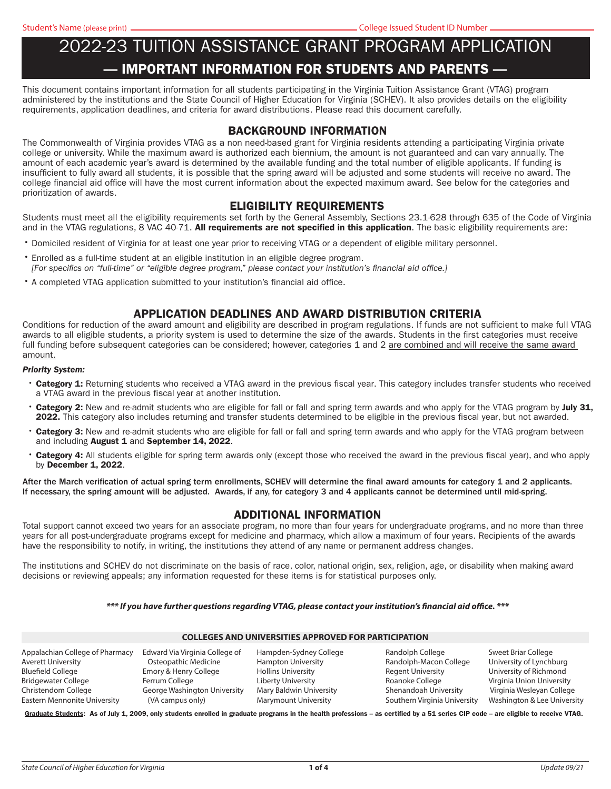# 2022-23 TUITION ASSISTANCE GRANT PROGRAM APPLICATION — IMPORTANT INFORMATION FOR STUDENTS AND PARENTS —

This document contains important information for all students participating in the Virginia Tuition Assistance Grant (VTAG) program administered by the institutions and the State Council of Higher Education for Virginia (SCHEV). It also provides details on the eligibility requirements, application deadlines, and criteria for award distributions. Please read this document carefully.

### BACKGROUND INFORMATION

The Commonwealth of Virginia provides VTAG as a non need-based grant for Virginia residents attending a participating Virginia private college or university. While the maximum award is authorized each biennium, the amount is not guaranteed and can vary annually. The amount of each academic year's award is determined by the available funding and the total number of eligible applicants. If funding is insuffcient to fully award all students, it is possible that the spring award will be adjusted and some students will receive no award. The college fnancial aid offce will have the most current information about the expected maximum award. See below for the categories and prioritization of awards.

### ELIGIBILITY REQUIREMENTS

Students must meet all the eligibility requirements set forth by the General Assembly, Sections 23.1-628 through 635 of the Code of Virginia and in the VTAG regulations, 8 VAC 40-71. All requirements are not specified in this application. The basic eligibility requirements are:

- Domiciled resident of Virginia for at least one year prior to receiving VTAG or a dependent of eligible military personnel.
- •Enrolled as a full-time student at an eligible institution in an eligible degree program. *[For specifcs on "full-time" or "eligible degree program," please contact your institution's fnancial aid offce.]*
- •A completed VTAG application submitted to your institution's financial aid office.

### APPLICATION DEADLINES AND AWARD DISTRIBUTION CRITERIA

Conditions for reduction of the award amount and eligibility are described in program regulations. If funds are not suffcient to make full VTAG awards to all eligible students, a priority system is used to determine the size of the awards. Students in the frst categories must receive full funding before subsequent categories can be considered; however, categories 1 and 2 are combined and will receive the same award amount.

#### *Priority System:*

- Category 1: Returning students who received a VTAG award in the previous fiscal year. This category includes transfer students who received a VTAG award in the previous fiscal year at another institution.
- **Category 2:** New and re-admit students who are eligible for fall or fall and spring term awards and who apply for the VTAG program by **July 31.** 2022. This category also includes returning and transfer students determined to be eligible in the previous fiscal year, but not awarded.
- Category 3: New and re-admit students who are eligible for fall or fall and spring term awards and who apply for the VTAG program between and including August 1 and September 14, 2022.
- Category 4: All students eligible for spring term awards only (except those who received the award in the previous fiscal year), and who apply by December 1, 2022.

After the March verification of actual spring term enrollments, SCHEV will determine the final award amounts for category 1 and 2 applicants. If necessary, the spring amount will be adjusted. Awards, if any, for category 3 and 4 applicants cannot be determined until mid-spring.

#### ADDITIONAL INFORMATION

Total support cannot exceed two years for an associate program, no more than four years for undergraduate programs, and no more than three years for all post-undergraduate programs except for medicine and pharmacy, which allow a maximum of four years. Recipients of the awards have the responsibility to notify, in writing, the institutions they attend of any name or permanent address changes.

The institutions and SCHEV do not discriminate on the basis of race, color, national origin, sex, religion, age, or disability when making award decisions or reviewing appeals; any information requested for these items is for statistical purposes only.

#### *\*\*\* If you have further questions regarding VTAG, please contact your institution's fnancial aid ofce. \*\*\**

| <b>COLLEGES AND UNIVERSITIES APPROVED FOR PARTICIPATION</b>                                                                                              |                                                                                                                                                       |                                                                                                                                                           |                                                                                                                                                    |                                                                                                                                                                   |  |  |  |
|----------------------------------------------------------------------------------------------------------------------------------------------------------|-------------------------------------------------------------------------------------------------------------------------------------------------------|-----------------------------------------------------------------------------------------------------------------------------------------------------------|----------------------------------------------------------------------------------------------------------------------------------------------------|-------------------------------------------------------------------------------------------------------------------------------------------------------------------|--|--|--|
| Appalachian College of Pharmacy<br>Averett University<br>Bluefield College<br>Bridgewater College<br>Christendom College<br>Eastern Mennonite University | Edward Via Virginia College of<br>Osteopathic Medicine<br>Emory & Henry College<br>Ferrum College<br>George Washington University<br>(VA campus only) | Hampden-Sydney College<br><b>Hampton University</b><br><b>Hollins University</b><br>Liberty University<br>Mary Baldwin University<br>Marymount University | Randolph College<br>Randolph-Macon College<br><b>Regent University</b><br>Roanoke College<br>Shenandoah University<br>Southern Virginia University | Sweet Briar College<br>University of Lynchburg<br>University of Richmond<br>Virginia Union University<br>Virginia Wesleyan College<br>Washington & Lee University |  |  |  |
|                                                                                                                                                          |                                                                                                                                                       |                                                                                                                                                           |                                                                                                                                                    |                                                                                                                                                                   |  |  |  |

Graduate Students: As of July 1, 2009, only students enrolled in graduate programs in the health professions - as certified by a 51 series CIP code - are eligible to receive VTAG.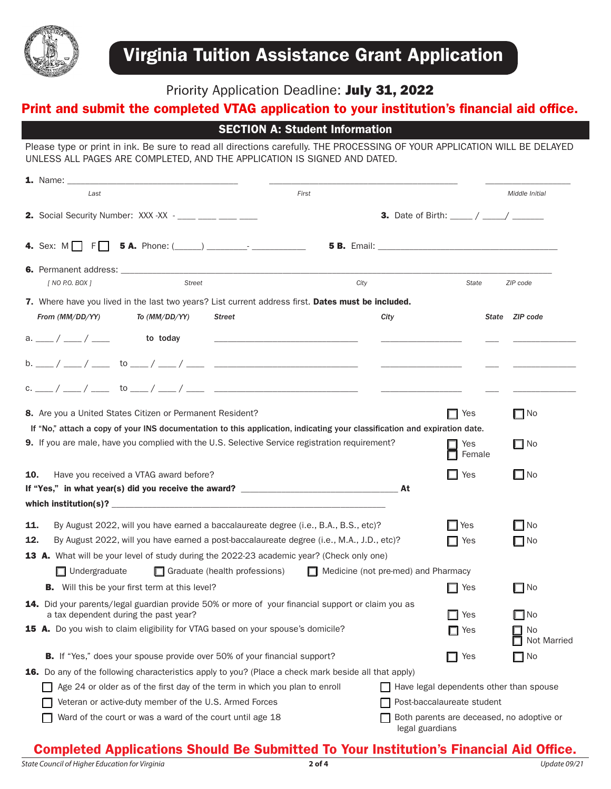

# Priority Application Deadline: July 31, 2022

# Print and submit the completed VTAG application to your institution's financial aid office.

SECTION A: Student Information

Please type or print in ink. Be sure to read all directions carefully. THE PROCESSING OF YOUR APPLICATION WILL BE DELAYED UNLESS ALL PAGES ARE COMPLETED, AND THE APPLICATION IS SIGNED AND DATED.

|                      | <b>1.</b> Name: 2008 <b>1. 2008 1. 2008 1. 2008 1. 2008 1. 2008 1. 2008 1. 2008 1. 2008 1. 2008 1. 2008 1. 2008 1. 2008 1. 2008 1. 2008 1. 2008 1. 2008 1. 2008 1. 2008 1. 2008 1. 2008 1. 2008 1. 2008 1. 2008 1. 2008 1. 2008 1. 20</b> |                                                                                                                       |                                            |                                                                                                         |                                                        |                          |
|----------------------|-------------------------------------------------------------------------------------------------------------------------------------------------------------------------------------------------------------------------------------------|-----------------------------------------------------------------------------------------------------------------------|--------------------------------------------|---------------------------------------------------------------------------------------------------------|--------------------------------------------------------|--------------------------|
| Last                 |                                                                                                                                                                                                                                           |                                                                                                                       | First                                      |                                                                                                         |                                                        | Middle Initial           |
|                      | <b>2.</b> Social Security Number: XXX - XX - ____ ___ ___ ___ ____                                                                                                                                                                        |                                                                                                                       |                                            |                                                                                                         | <b>3.</b> Date of Birth: $\frac{1}{2}$ / $\frac{1}{2}$ |                          |
|                      |                                                                                                                                                                                                                                           |                                                                                                                       |                                            |                                                                                                         |                                                        |                          |
| [ NO P.O. BOX ]      | Street                                                                                                                                                                                                                                    |                                                                                                                       | City                                       |                                                                                                         | State                                                  | ZIP code                 |
| From (MM/DD/YY)      | 7. Where have you lived in the last two years? List current address first. Dates must be included.<br>To (MM/DD/YY)                                                                                                                       | Street                                                                                                                |                                            | City                                                                                                    |                                                        | State ZIP code           |
| $a.$ ___ / ___ / ___ | to today                                                                                                                                                                                                                                  | <u> 1989 - Johann John Stone, market fransk konge og det ble store og det ble store og det ble store og det ble s</u> |                                            |                                                                                                         |                                                        |                          |
|                      |                                                                                                                                                                                                                                           |                                                                                                                       |                                            | $\frac{1}{\sqrt{2\pi}}\left(\frac{1}{\sqrt{2\pi}}\right)^{1/2}\left(\frac{1}{\sqrt{2\pi}}\right)^{1/2}$ |                                                        |                          |
|                      |                                                                                                                                                                                                                                           |                                                                                                                       |                                            | <b>Committee</b>                                                                                        |                                                        |                          |
|                      | 8. Are you a United States Citizen or Permanent Resident?                                                                                                                                                                                 |                                                                                                                       |                                            |                                                                                                         | $\Box$ Yes                                             | $\Box$ No                |
|                      | If "No," attach a copy of your INS documentation to this application, indicating your classification and expiration date.                                                                                                                 |                                                                                                                       |                                            |                                                                                                         |                                                        |                          |
|                      | <b>9.</b> If you are male, have you complied with the U.S. Selective Service registration requirement?                                                                                                                                    |                                                                                                                       |                                            |                                                                                                         | Yes<br>Female                                          | $\Box$ No                |
| 10.                  | Have you received a VTAG award before?                                                                                                                                                                                                    |                                                                                                                       |                                            |                                                                                                         | Yes                                                    | $\square$ No             |
|                      |                                                                                                                                                                                                                                           |                                                                                                                       |                                            |                                                                                                         |                                                        |                          |
|                      |                                                                                                                                                                                                                                           |                                                                                                                       |                                            |                                                                                                         |                                                        |                          |
| 11.                  | By August 2022, will you have earned a baccalaureate degree (i.e., B.A., B.S., etc)?                                                                                                                                                      |                                                                                                                       |                                            |                                                                                                         | ∥ Yes                                                  | $\Box$ No                |
| 12.                  | By August 2022, will you have earned a post-baccalaureate degree (i.e., M.A., J.D., etc)?                                                                                                                                                 |                                                                                                                       |                                            |                                                                                                         | ∐ Yes                                                  | $\Box$ No                |
|                      | <b>13 A.</b> What will be your level of study during the 2022-23 academic year? (Check only one)                                                                                                                                          |                                                                                                                       |                                            |                                                                                                         |                                                        |                          |
| $\Box$ Undergraduate |                                                                                                                                                                                                                                           | $\Box$ Graduate (health professions)                                                                                  | $\Box$ Medicine (not pre-med) and Pharmacy |                                                                                                         |                                                        |                          |
|                      | <b>B.</b> Will this be your first term at this level?                                                                                                                                                                                     |                                                                                                                       |                                            |                                                                                                         | ∐ Yes                                                  | $\Box$ No                |
|                      | 14. Did your parents/legal guardian provide 50% or more of your financial support or claim you as<br>a tax dependent during the past year?                                                                                                |                                                                                                                       |                                            |                                                                                                         | I⊟ Yes                                                 | $\Box$ No                |
|                      | 15 A. Do you wish to claim eligibility for VTAG based on your spouse's domicile?                                                                                                                                                          |                                                                                                                       |                                            |                                                                                                         | $\Box$ Yes                                             | $\Box$ No<br>Not Married |
|                      | <b>B.</b> If "Yes," does your spouse provide over 50% of your financial support?                                                                                                                                                          |                                                                                                                       |                                            |                                                                                                         | Yes                                                    | $\Box$ No                |
|                      | <b>16.</b> Do any of the following characteristics apply to you? (Place a check mark beside all that apply)                                                                                                                               |                                                                                                                       |                                            |                                                                                                         |                                                        |                          |
|                      | Age 24 or older as of the first day of the term in which you plan to enroll                                                                                                                                                               |                                                                                                                       |                                            |                                                                                                         | Have legal dependents other than spouse                |                          |
|                      | Veteran or active-duty member of the U.S. Armed Forces                                                                                                                                                                                    |                                                                                                                       |                                            |                                                                                                         | Post-baccalaureate student                             |                          |
|                      | Ward of the court or was a ward of the court until age 18                                                                                                                                                                                 |                                                                                                                       |                                            | legal guardians                                                                                         | Both parents are deceased, no adoptive or              |                          |

# Completed Applications Should Be Submitted To Your Institution's Financial Aid Office.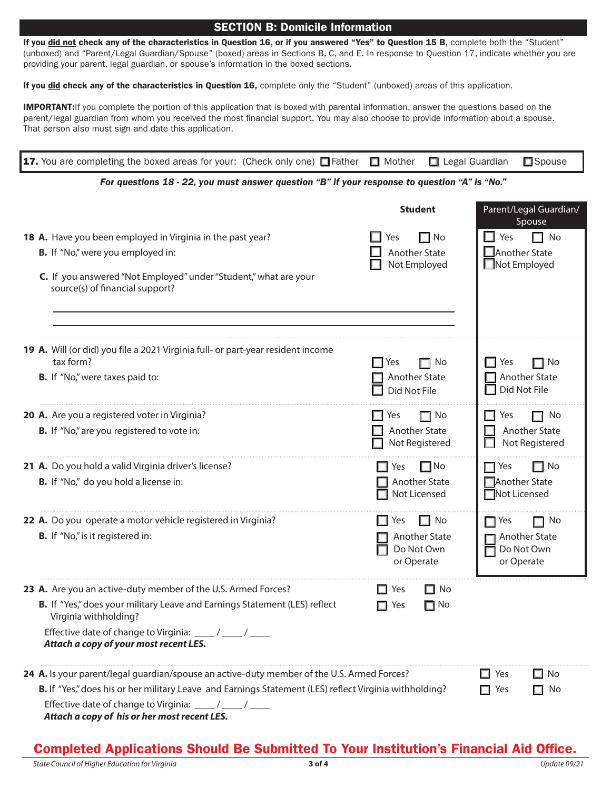### SECTION B: Domicile Information

If you did not check any of the characteristics in Question 16, or if you answered "Yes" to Question 15 B, complete both the "Student" (unboxed) and "Parent/Legal Guardian/Spouse" (boxed) areas in Sections B, C, and E. In response to Question 17, indicate whether you are providing your parent, legal guardian, or spouse's information in the boxed sections.

If you did check any of the characteristics in Question 16, complete only the "Student" (unboxed) areas of this application.

**IMPORTANT:** If you complete the portion of this application that is boxed with parental information, answer the questions based on the parent/legal guardian from whom you received the most fnancial support. You may also choose to provide information about a spouse. That person also must sign and date this application.

| 17. You are completing the boxed areas for your: (Check only one) Father T Mother                                                                                                                                | Legal Guardian                                                  | $\square$ Spouse                                                     |  |  |  |
|------------------------------------------------------------------------------------------------------------------------------------------------------------------------------------------------------------------|-----------------------------------------------------------------|----------------------------------------------------------------------|--|--|--|
| For questions 18 - 22, you must answer question "B" if your response to question "A" is "No."                                                                                                                    |                                                                 |                                                                      |  |  |  |
|                                                                                                                                                                                                                  | <b>Student</b>                                                  | Parent/Legal Guardian/<br>Spouse                                     |  |  |  |
| 18 A. Have you been employed in Virginia in the past year?                                                                                                                                                       | $\Box$ No<br>Yes                                                | $\Box$ Yes<br>$\Box$ No                                              |  |  |  |
| B. If "No," were you employed in:                                                                                                                                                                                | Another State                                                   | $\square$ Another State<br>□Not Employed                             |  |  |  |
| C. If you answered "Not Employed" under "Student," what are your<br>source(s) of financial support?                                                                                                              | Not Employed                                                    |                                                                      |  |  |  |
| 19 A. Will (or did) you file a 2021 Virginia full- or part-year resident income                                                                                                                                  |                                                                 |                                                                      |  |  |  |
| tax form?<br><b>B.</b> If "No," were taxes paid to:                                                                                                                                                              | $\Box$ Yes<br>$\Box$ No<br><b>Another State</b><br>Did Not File | $\Box$ Yes<br>$\Box$ No<br>$\Box$ Another State<br>Did Not File      |  |  |  |
| 20 A. Are you a registered voter in Virginia?<br>B. If "No," are you registered to vote in:                                                                                                                      | $\Box$ No<br>$\Box$ Yes<br>Another State<br>Not Registered      | $\Box$ No<br>l l Yes<br>Another State<br>Not Registered              |  |  |  |
| 21 A. Do you hold a valid Virginia driver's license?<br><b>B.</b> If "No," do you hold a license in:                                                                                                             | $\Box$ No<br>Yes<br>Another State<br>Not Licensed               | $\Box$ No<br>$\Box$ Yes<br>□ Another State<br>□Not Licensed          |  |  |  |
| 22 A. Do you operate a motor vehicle registered in Virginia?<br><b>B.</b> If "No," is it registered in:                                                                                                          | $\Box$ No<br>Yes<br>Another State<br>Do Not Own<br>or Operate   | $\Box$ No<br>Yes<br><b>Another State</b><br>Do Not Own<br>or Operate |  |  |  |
| 23 A. Are you an active-duty member of the U.S. Armed Forces?                                                                                                                                                    | $\Box$ Yes<br>∐ No                                              |                                                                      |  |  |  |
| B. If "Yes," does your military Leave and Earnings Statement (LES) reflect<br>Virginia withholding?                                                                                                              | $\Box$ Yes<br>$\Box$ No                                         |                                                                      |  |  |  |
| Effective date of change to Virginia: ____/ ____/ ____<br>Attach a copy of your most recent LES.                                                                                                                 |                                                                 |                                                                      |  |  |  |
| 24 A. Is your parent/legal guardian/spouse an active-duty member of the U.S. Armed Forces?                                                                                                                       |                                                                 | $\Box$ Yes<br>l⊟ No                                                  |  |  |  |
| B. If "Yes," does his or her military Leave and Earnings Statement (LES) reflect Virginia withholding?<br>Effective date of change to Virginia: ____/ ____/ ____<br>Attach a copy of his or her most recent LES. |                                                                 | $\Box$ Yes<br>$\Box$ No                                              |  |  |  |

# Completed Applications Should Be Submitted To Your Institution's Financial Aid Office.